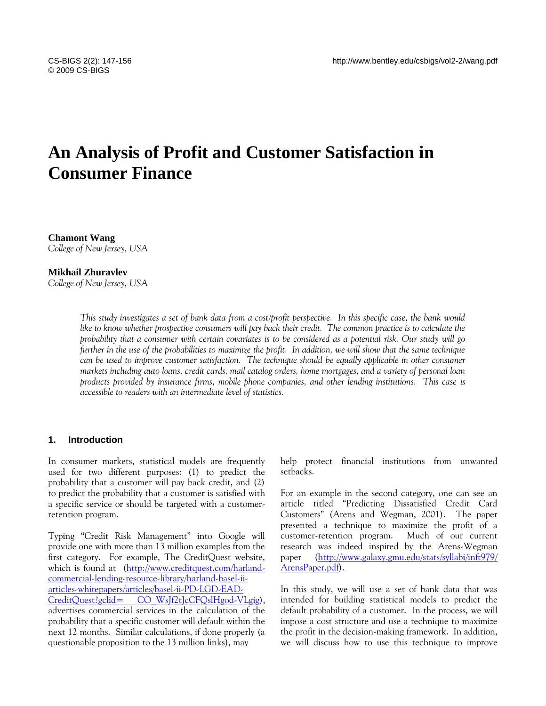# **An Analysis of Profit and Customer Satisfaction in Consumer Finance**

**Chamont Wang** *College of New Jersey, USA*

#### **Mikhail Zhuravlev**

*College of New Jersey, USA*

*This study investigates a set of bank data from a cost/profit perspective. In this specific case, the bank would like to know whether prospective consumers will pay back their credit. The common practice is to calculate the probability that a consumer with certain covariates is to be considered as a potential risk. Our study will go further in the use of the probabilities to maximize the profit. In addition, we will show that the same technique can be used to improve customer satisfaction. The technique should be equally applicable in other consumer markets including auto loans, credit cards, mail catalog orders, home mortgages, and a variety of personal loan products provided by insurance firms, mobile phone companies, and other lending institutions. This case is accessible to readers with an intermediate level of statistics.*

#### **1. Introduction**

In consumer markets, statistical models are frequently used for two different purposes: (1) to predict the probability that a customer will pay back credit, and (2) to predict the probability that a customer is satisfied with a specific service or should be targeted with a customerretention program.

Typing "Credit Risk Management" into Google will provide one with more than 13 million examples from the first category. For example, The CreditQuest website, which is found at [\(http://www.creditquest.com/harland](http://www.creditquest.com/harland-commercial-lending-resource-library/harland-basel-ii-articles-whitepapers/articles/basel-ii-PD-LGD-EAD-CreditQuest?gclid=%20CO_WsJf2tJcCFQslHgod-VLgig)[commercial-lending-resource-library/harland-basel-ii](http://www.creditquest.com/harland-commercial-lending-resource-library/harland-basel-ii-articles-whitepapers/articles/basel-ii-PD-LGD-EAD-CreditQuest?gclid=%20CO_WsJf2tJcCFQslHgod-VLgig)[articles-whitepapers/articles/basel-ii-PD-LGD-EAD-](http://www.creditquest.com/harland-commercial-lending-resource-library/harland-basel-ii-articles-whitepapers/articles/basel-ii-PD-LGD-EAD-CreditQuest?gclid=%20CO_WsJf2tJcCFQslHgod-VLgig)CreditQuest?gclid= CO\_WsIf2tIcCFOslHgod-VLgig), advertises commercial services in the calculation of the probability that a specific customer will default within the next 12 months. Similar calculations, if done properly (a questionable proposition to the 13 million links), may

help protect financial institutions from unwanted setbacks.

For an example in the second category, one can see an article titled "Predicting Dissatisfied Credit Card Customers" (Arens and Wegman, 2001). The paper presented a technique to maximize the profit of a customer-retention program. Much of our current research was indeed inspired by the Arens-Wegman paper [\(http://www.galaxy.gmu.edu/stats/syllabi/inft979/](http://www.galaxy.gmu.edu/stats/syllabi/inft979/%20ArensPaper.pdf)  [ArensPaper.pdf\)](http://www.galaxy.gmu.edu/stats/syllabi/inft979/%20ArensPaper.pdf).

In this study, we will use a set of bank data that was intended for building statistical models to predict the default probability of a customer. In the process, we will impose a cost structure and use a technique to maximize the profit in the decision-making framework. In addition, we will discuss how to use this technique to improve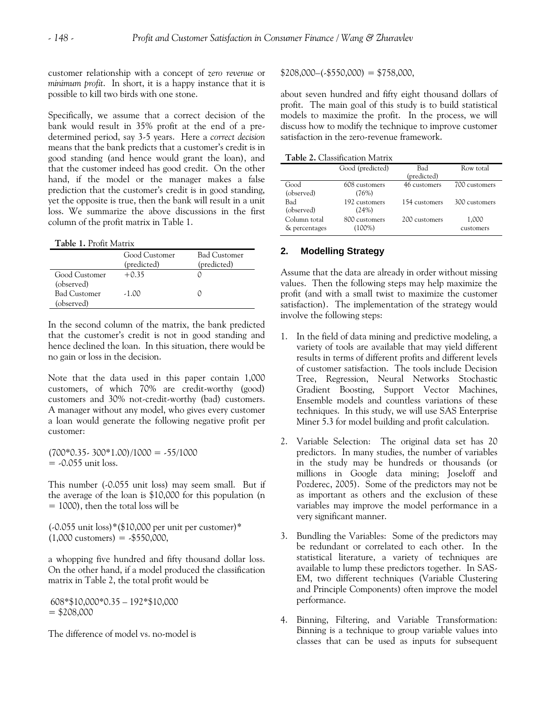customer relationship with a concept of *zero revenue* or *minimum profit*. In short, it is a happy instance that it is possible to kill two birds with one stone.

Specifically, we assume that a correct decision of the bank would result in 35% profit at the end of a predetermined period, say 3-5 years. Here a *correct decision* means that the bank predicts that a customer's credit is in good standing (and hence would grant the loan), and that the customer indeed has good credit. On the other hand, if the model or the manager makes a false prediction that the customer's credit is in good standing, yet the opposite is true, then the bank will result in a unit loss. We summarize the above discussions in the first column of the profit matrix in Table 1.

| Table 1. Profit Matrix            |                              |                             |  |  |  |
|-----------------------------------|------------------------------|-----------------------------|--|--|--|
|                                   | Good Customer<br>(predicted) | Bad Customer<br>(predicted) |  |  |  |
| Good Customer<br>(observed)       | $+0.35$                      |                             |  |  |  |
| <b>Bad Customer</b><br>(observed) | $-1.00$                      |                             |  |  |  |

In the second column of the matrix, the bank predicted that the customer's credit is not in good standing and hence declined the loan. In this situation, there would be no gain or loss in the decision.

Note that the data used in this paper contain 1,000 customers, of which 70% are credit-worthy (good) customers and 30% not-credit-worthy (bad) customers. A manager without any model, who gives every customer a loan would generate the following negative profit per customer:

 $(700*0.35-300*1.00)/1000 = -55/1000$  $=$  -0.055 unit loss.

This number (-0.055 unit loss) may seem small. But if the average of the loan is \$10,000 for this population (n  $= 1000$ , then the total loss will be

(-0.055 unit loss)\*(\$10,000 per unit per custome*r*)\*  $(1,000 \text{ customers}) = .$550,000,$ 

a whopping five hundred and fifty thousand dollar loss. On the other hand, if a model produced the classification matrix in Table 2, the total profit would be

608\*\$10,000\*0.35 – 192\*\$10,000  $= $208,000$ 

The difference of model vs. no-model is

 $$208,000-(-$550,000) = $758,000,$ 

about seven hundred and fifty eight thousand dollars of profit. The main goal of this study is to build statistical models to maximize the profit. In the process, we will discuss how to modify the technique to improve customer satisfaction in the zero-revenue framework.

**Table 2.** Classification Matrix

|                               | Good (predicted)           | Bad<br>(predicted) | Row total          |
|-------------------------------|----------------------------|--------------------|--------------------|
| Good<br>(observed)            | 608 customers<br>(76%)     | 46 customers       | 700 customers      |
| Bad<br>(observed)             | 192 customers<br>(24%)     | 154 customers      | 300 customers      |
| Column total<br>& percentages | 800 customers<br>$(100\%)$ | 200 customers      | 1,000<br>customers |

# **2. Modelling Strategy**

Assume that the data are already in order without missing values. Then the following steps may help maximize the profit (and with a small twist to maximize the customer satisfaction). The implementation of the strategy would involve the following steps:

- 1. In the field of data mining and predictive modeling, a variety of tools are available that may yield different results in terms of different profits and different levels of customer satisfaction. The tools include Decision Tree, Regression, Neural Networks Stochastic Gradient Boosting, Support Vector Machines, Ensemble models and countless variations of these techniques. In this study, we will use SAS Enterprise Miner 5.3 for model building and profit calculation.
- 2. Variable Selection: The original data set has 20 predictors. In many studies, the number of variables in the study may be hundreds or thousands (or millions in Google data mining; Joseloff and Pozderec, 2005). Some of the predictors may not be as important as others and the exclusion of these variables may improve the model performance in a very significant manner.
- 3. Bundling the Variables: Some of the predictors may be redundant or correlated to each other. In the statistical literature, a variety of techniques are available to lump these predictors together. In SAS-EM, two different techniques (Variable Clustering and Principle Components) often improve the model performance.
- 4. Binning, Filtering, and Variable Transformation: Binning is a technique to group variable values into classes that can be used as inputs for subsequent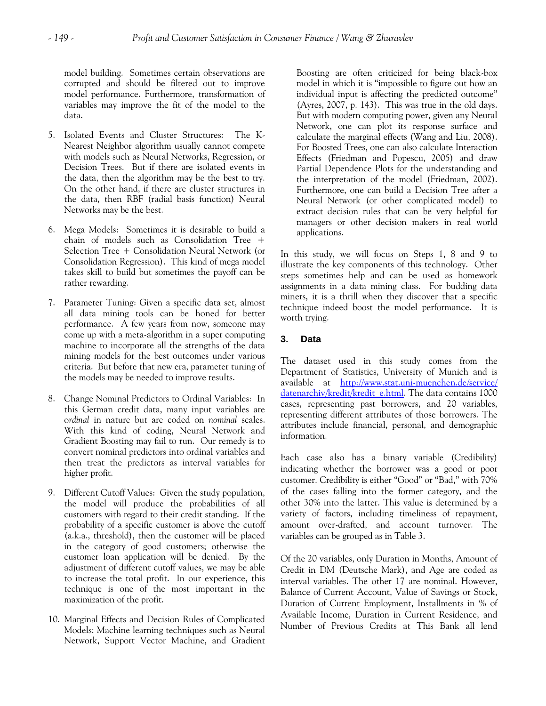model building. Sometimes certain observations are corrupted and should be filtered out to improve model performance. Furthermore, transformation of variables may improve the fit of the model to the data.

- 5. Isolated Events and Cluster Structures: The K-Nearest Neighbor algorithm usually cannot compete with models such as Neural Networks, Regression, or Decision Trees. But if there are isolated events in the data, then the algorithm may be the best to try. On the other hand, if there are cluster structures in the data, then RBF (radial basis function) Neural Networks may be the best.
- 6. Mega Models: Sometimes it is desirable to build a chain of models such as Consolidation Tree + Selection Tree + Consolidation Neural Network (or Consolidation Regression). This kind of mega model takes skill to build but sometimes the payoff can be rather rewarding.
- 7. Parameter Tuning: Given a specific data set, almost all data mining tools can be honed for better performance. A few years from now, someone may come up with a meta-algorithm in a super computing machine to incorporate all the strengths of the data mining models for the best outcomes under various criteria. But before that new era, parameter tuning of the models may be needed to improve results.
- 8. Change Nominal Predictors to Ordinal Variables: In this German credit data, many input variables are o*rdinal* in nature but are coded on *nominal* scales. With this kind of coding, Neural Network and Gradient Boosting may fail to run. Our remedy is to convert nominal predictors into ordinal variables and then treat the predictors as interval variables for higher profit.
- 9. Different Cutoff Values: Given the study population, the model will produce the probabilities of all customers with regard to their credit standing. If the probability of a specific customer is above the cutoff (a.k.a., threshold), then the customer will be placed in the category of good customers; otherwise the customer loan application will be denied. By the adjustment of different cutoff values, we may be able to increase the total profit. In our experience, this technique is one of the most important in the maximization of the profit.
- 10. Marginal Effects and Decision Rules of Complicated Models: Machine learning techniques such as Neural Network, Support Vector Machine, and Gradient

Boosting are often criticized for being black-box model in which it is "impossible to figure out how an individual input is affecting the predicted outcome" (Ayres, 2007, p. 143). This was true in the old days. But with modern computing power, given any Neural Network, one can plot its response surface and calculate the marginal effects (Wang and Liu, 2008). For Boosted Trees, one can also calculate Interaction Effects (Friedman and Popescu, 2005) and draw Partial Dependence Plots for the understanding and the interpretation of the model (Friedman, 2002). Furthermore, one can build a Decision Tree after a Neural Network (or other complicated model) to extract decision rules that can be very helpful for managers or other decision makers in real world applications.

In this study, we will focus on Steps 1, 8 and 9 to illustrate the key components of this technology. Other steps sometimes help and can be used as homework assignments in a data mining class. For budding data miners, it is a thrill when they discover that a specific technique indeed boost the model performance. It is worth trying.

# **3. Data**

The dataset used in this study comes from the Department of Statistics, University of Munich and is available at http://www.stat.uni-muenchen.de/service/ [datenarchiv/kredit/kredit\\_e.html.](http://www.stat.uni-muenchen.de/service/%20datenarchiv/kredit/kredit_e.html) The data contains 1000 cases, representing past borrowers, and 20 variables, representing different attributes of those borrowers. The attributes include financial, personal, and demographic information.

Each case also has a binary variable (Credibility) indicating whether the borrower was a good or poor customer. Credibility is either "Good" or "Bad," with 70% of the cases falling into the former category, and the other 30% into the latter. This value is determined by a variety of factors, including timeliness of repayment, amount over-drafted, and account turnover. The variables can be grouped as in Table 3.

Of the 20 variables, only Duration in Months, Amount of Credit in DM (Deutsche Mark), and Age are coded as interval variables. The other 17 are nominal. However, Balance of Current Account, Value of Savings or Stock, Duration of Current Employment, Installments in % of Available Income, Duration in Current Residence, and Number of Previous Credits at This Bank all lend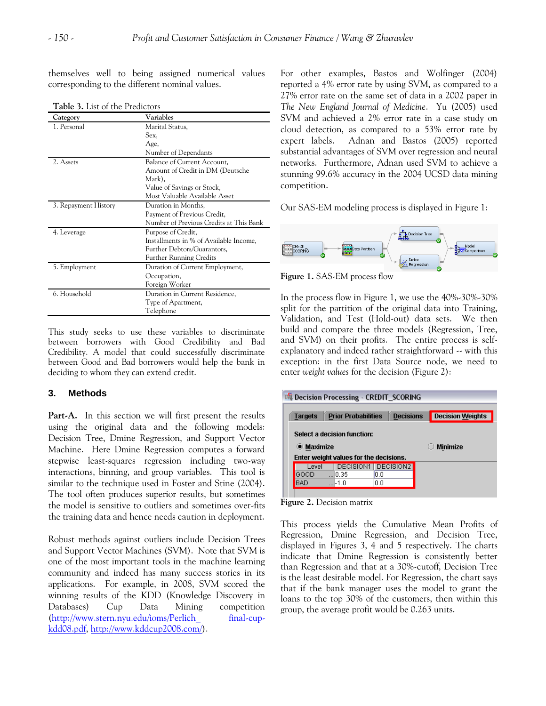themselves well to being assigned numerical values corresponding to the different nominal values.

| <b>Table .).</b> List of the Fiedictors |                                         |  |  |  |
|-----------------------------------------|-----------------------------------------|--|--|--|
| Category                                | Variables                               |  |  |  |
| 1. Personal                             | Marital Status,                         |  |  |  |
|                                         | Sex,                                    |  |  |  |
|                                         | Age,                                    |  |  |  |
|                                         | Number of Dependants                    |  |  |  |
| 2. Assets                               | Balance of Current Account,             |  |  |  |
|                                         | Amount of Credit in DM (Deutsche        |  |  |  |
|                                         | Mark),                                  |  |  |  |
|                                         | Value of Savings or Stock,              |  |  |  |
|                                         | Most Valuable Available Asset           |  |  |  |
| 3. Repayment History                    | Duration in Months,                     |  |  |  |
|                                         | Payment of Previous Credit,             |  |  |  |
|                                         | Number of Previous Credits at This Bank |  |  |  |
| 4. Leverage                             | Purpose of Credit,                      |  |  |  |
|                                         | Installments in % of Available Income,  |  |  |  |
|                                         | Further Debtors/Guarantors,             |  |  |  |
|                                         | <b>Further Running Credits</b>          |  |  |  |
| 5. Employment                           | Duration of Current Employment,         |  |  |  |
|                                         | Occupation,                             |  |  |  |
|                                         | Foreign Worker                          |  |  |  |
| 6. Household                            | Duration in Current Residence.          |  |  |  |
|                                         | Type of Apartment,                      |  |  |  |
|                                         | Telephone                               |  |  |  |

**Table 3.** List of the Predict

This study seeks to use these variables to discriminate between borrowers with Good Credibility and Bad Credibility. A model that could successfully discriminate between Good and Bad borrowers would help the bank in deciding to whom they can extend credit.

# **3. Methods**

Part-A. In this section we will first present the results using the original data and the following models: Decision Tree, Dmine Regression, and Support Vector Machine. Here Dmine Regression computes a forward stepwise least-squares regression including two-way interactions, binning, and group variables. This tool is similar to the technique used in Foster and Stine (2004). The tool often produces superior results, but sometimes the model is sensitive to outliers and sometimes over-fits the training data and hence needs caution in deployment.

Robust methods against outliers include Decision Trees and Support Vector Machines (SVM). Note that SVM is one of the most important tools in the machine learning community and indeed has many success stories in its applications. For example, in 2008, SVM scored the winning results of the KDD (Knowledge Discovery in Databases) Cup Data Mining competition [\(http://www.stern.nyu.edu/ioms/Perlich\\_ final-cup](http://www.stern.nyu.edu/ioms/Perlich_%20final-cup-kdd08.pdf)[kdd08.pdf,](http://www.stern.nyu.edu/ioms/Perlich_%20final-cup-kdd08.pdf) [http://www.kddcup2008.com/\)](http://www.kddcup2008.com/).

For other examples, Bastos and Wolfinger (2004) reported a 4% error rate by using SVM, as compared to a 27% error rate on the same set of data in a 2002 paper in *The New England Journal of Medicine*. Yu (2005) used SVM and achieved a 2% error rate in a case study on cloud detection, as compared to a 53% error rate by expert labels. Adnan and Bastos (2005) reported substantial advantages of SVM over regression and neural networks. Furthermore, Adnan used SVM to achieve a stunning 99.6% accuracy in the 2004 UCSD data mining competition.

Our SAS-EM modeling process is displayed in Figure 1:



**Figure 1.** SAS-EM process flow

In the process flow in Figure 1, we use the 40%-30%-30% split for the partition of the original data into Training, Validation, and Test (Hold-out) data sets. We then build and compare the three models (Regression, Tree, and SVM) on their profits. The entire process is selfexplanatory and indeed rather straightforward  $\sim$  with this exception: in the first Data Source node, we need to enter *weight values* for the decision (Figure 2):

| <b>DEL Decision Processing - CREDIT_SCORING</b> |                             |                                        |     |                       |  |                         |  |
|-------------------------------------------------|-----------------------------|----------------------------------------|-----|-----------------------|--|-------------------------|--|
| <b>Targets</b>                                  |                             | <b>Prior Probabilities</b>             |     | <b>Decisions</b>      |  | <b>Decision Weights</b> |  |
|                                                 | Select a decision function: |                                        |     |                       |  |                         |  |
| <b>O</b> Maximize                               |                             |                                        |     |                       |  | <b>Minimize</b>         |  |
|                                                 |                             | Enter weight values for the decisions. |     |                       |  |                         |  |
| Level                                           |                             | DECISION1                              |     | DECISION <sub>2</sub> |  |                         |  |
| GOOD                                            |                             | 0.35                                   | 0.0 |                       |  |                         |  |
| <b>BAD</b>                                      |                             | I-1.0                                  | 0.0 |                       |  |                         |  |
|                                                 |                             |                                        |     |                       |  |                         |  |

**Figure 2.** Decision matrix

This process yields the Cumulative Mean Profits of Regression, Dmine Regression, and Decision Tree, displayed in Figures 3, 4 and 5 respectively. The charts indicate that Dmine Regression is consistently better than Regression and that at a 30%-cutoff, Decision Tree is the least desirable model. For Regression, the chart says that if the bank manager uses the model to grant the loans to the top 30% of the customers, then within this group, the average profit would be 0.263 units.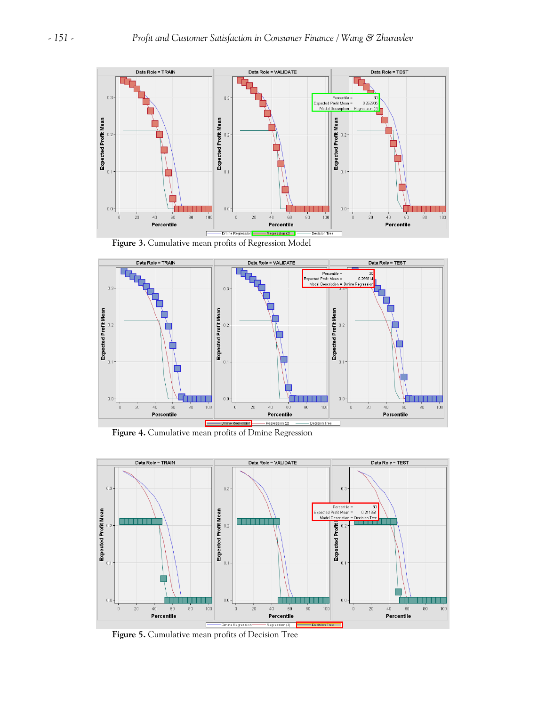

**Figure 3.** Cumulative mean profits of Regression Model



**Figure 4.** Cumulative mean profits of Dmine Regression



**Figure 5.** Cumulative mean profits of Decision Tree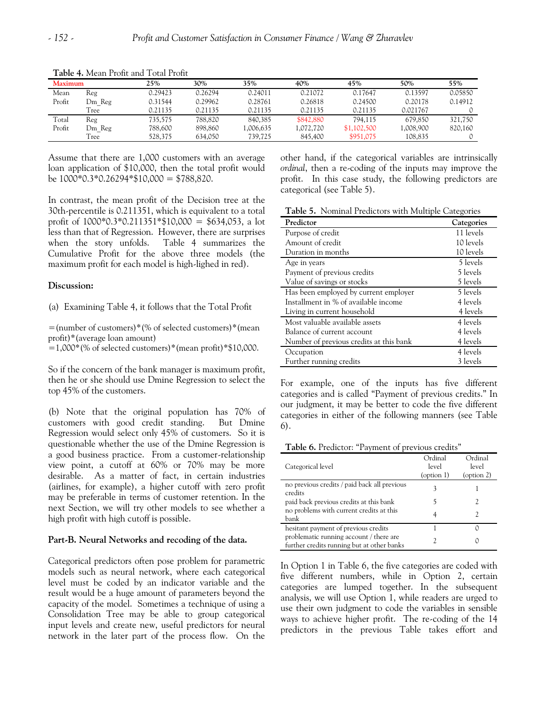| <b>Maximum</b> |        | 25%     | 30%     | 35%      | 40%       | 45%         | 50%       | 55%     |
|----------------|--------|---------|---------|----------|-----------|-------------|-----------|---------|
| Mean           | Reg    | 0.29423 | 0.26294 | 0.24011  | 0.21072   | 0.17647     | 0.13597   | 0.05850 |
| Profit         | Dm Reg | 0.31544 | 0.29962 | 0.28761  | 0.26818   | 0.24500     | 0.20178   | 0.14912 |
|                | Tree   | 0.21135 | 0.21135 | 0.21135  | 0.21135   | 0.21135     | 0.021767  |         |
| Total          | Reg    | 735,575 | 788,820 | 840,385  | \$842,880 | 794,115     | 679,850   | 321,750 |
| Profit         | Dm Reg | 788,600 | 898,860 | .006.635 | 1.072.720 | \$1,102,500 | 1,008,900 | 820,160 |
|                | Tree   | 528,375 | 634,050 | 739,725  | 845,400   | \$951,075   | 108,835   |         |

**Table 4.** Mean Profit and Total Profit

Assume that there are 1,000 customers with an average loan application of \$10,000, then the total profit would be  $1000*0.3*0.26294*10,000 = 1788,820$ .

In contrast, the mean profit of the Decision tree at the 30th-percentile is 0.211351, which is equivalent to a total profit of  $1000*0.3*0.211351*10,000 = $634,053$ , a lot less than that of Regression. However, there are surprises when the story unfolds. Table 4 summarizes the Cumulative Profit for the above three models (the maximum profit for each model is high-lighed in red).

## **Discussion:**

(a) Examining Table 4, it follows that the Total Profit

=(number of customers)\*(% of selected customers)\*(mean profit)\*(average loan amount)

 $=1,000*(\% \text{ of selected customers})*(\text{mean profit})*\$10,000$ .

So if the concern of the bank manager is maximum profit, then he or she should use Dmine Regression to select the top 45% of the customers.

(b) Note that the original population has 70% of customers with good credit standing. But Dmine Regression would select only 45% of customers. So it is questionable whether the use of the Dmine Regression is a good business practice. From a customer-relationship view point, a cutoff at 60% or 70% may be more desirable. As a matter of fact, in certain industries (airlines, for example), a higher cutoff with zero profit may be preferable in terms of customer retention. In the next Section, we will try other models to see whether a high profit with high cutoff is possible.

#### **Part-B. Neural Networks and recoding of the data.**

Categorical predictors often pose problem for parametric models such as neural network, where each categorical level must be coded by an indicator variable and the result would be a huge amount of parameters beyond the capacity of the model. Sometimes a technique of using a Consolidation Tree may be able to group categorical input levels and create new, useful predictors for neural network in the later part of the process flow. On the other hand, if the categorical variables are intrinsically *ordinal*, then a re-coding of the inputs may improve the profit. In this case study, the following predictors are categorical (see Table 5).

**Table 5.** Nominal Predictors with Multiple Categories

| Predictor                               | Categories |
|-----------------------------------------|------------|
| Purpose of credit                       | 11 levels  |
| Amount of credit                        | 10 levels  |
| Duration in months                      | 10 levels  |
| Age in years                            | 5 levels   |
| Payment of previous credits             | 5 levels   |
| Value of savings or stocks              | 5 levels   |
| Has been employed by current employer   | 5 levels   |
| Installment in % of available income    | 4 levels   |
| Living in current household             | 4 levels   |
| Most valuable available assets          | 4 levels   |
| Balance of current account              | 4 levels   |
| Number of previous credits at this bank | 4 levels   |
| Occupation                              | 4 levels   |
| Further running credits                 | 3 levels   |

For example, one of the inputs has five different categories and is called "Payment of previous credits." In our judgment, it may be better to code the five different categories in either of the following manners (see Table 6).

**Table 6.** Predictor: "Payment of previous credits"

| Categorical level                                                                     | Ordinal<br>level<br>$\text{(option 1)}$ | Ordinal<br>level<br>$($ option 2 $)$ |
|---------------------------------------------------------------------------------------|-----------------------------------------|--------------------------------------|
| no previous credits / paid back all previous<br>credits                               |                                         |                                      |
| paid back previous credits at this bank                                               |                                         | 2                                    |
| no problems with current credits at this<br>hank                                      |                                         | 2                                    |
| hesitant payment of previous credits                                                  |                                         |                                      |
| problematic running account / there are<br>further credits running but at other banks |                                         |                                      |

In Option 1 in Table 6, the five categories are coded with five different numbers, while in Option 2, certain categories are lumped together. In the subsequent analysis, we will use Option 1, while readers are urged to use their own judgment to code the variables in sensible ways to achieve higher profit. The re-coding of the 14 predictors in the previous Table takes effort and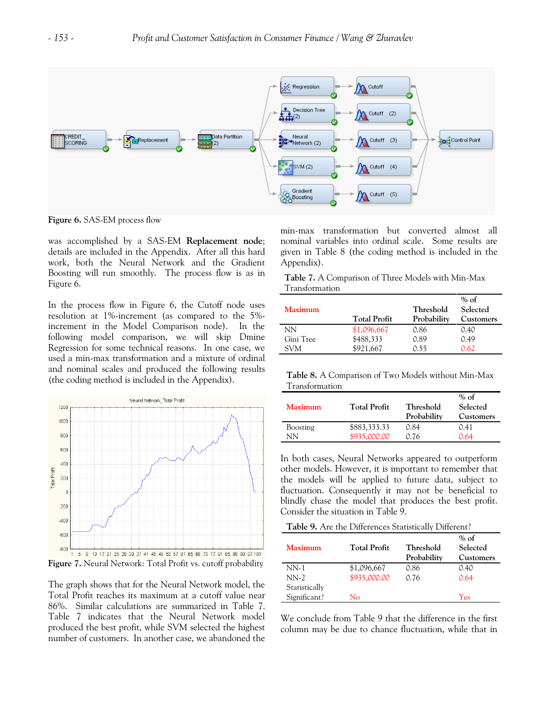

**Figure 6.** SAS-EM process flow

was accomplished by a SAS-EM **Replacement node**; details are included in the Appendix. After all this hard work, both the Neural Network and the Gradient Boosting will run smoothly. The process flow is as in Figure 6.

In the process flow in Figure 6, the Cutoff node uses resolution at 1%-increment (as compared to the 5% increment in the Model Comparison node). In the following model comparison, we will skip Dmine Regression for some technical reasons. In one case, we used a min-max transformation and a mixture of ordinal and nominal scales and produced the following results (the coding method is included in the Appendix).



**Figure 7.** Neural Network: Total Profit vs. cutoff probability

The graph shows that for the Neural Network model, the Total Profit reaches its maximum at a cutoff value near 86%. Similar calculations are summarized in Table 7. Table 7 indicates that the Neural Network model produced the best profit, while SVM selected the highest number of customers. In another case, we abandoned the min-max transformation but converted almost all nominal variables into ordinal scale. Some results are given in Table 8 (the coding method is included in the Appendix).

**Table 7.** A Comparison of Three Models with Min-Max Transformation

| <b>Maximum</b> | <b>Total Profit</b> | Threshold<br>Probability | $%$ of<br>Selected<br>Customers |
|----------------|---------------------|--------------------------|---------------------------------|
| ΝN             | \$1,096,667         | 0.86                     | 0.40                            |
| Gini Tree      | \$488,333           | 0.89                     | 0.49                            |
| SVM            | \$921,667           | 0.55                     | 0.62                            |

**Table 8.** A Comparison of Two Models without Min-Max Transformation

| <b>Maximum</b> | <b>Total Profit</b> | Threshold<br>Probability | $%$ of<br>Selected<br><b>Customers</b> |
|----------------|---------------------|--------------------------|----------------------------------------|
| Boosting       | \$883,333.33        | 0.84                     | 0.41                                   |
| NΝ             | \$935,000.00        | 0.76                     | 0.64                                   |

In both cases, Neural Networks appeared to outperform other models. However, it is important to remember that the models will be applied to future data, subject to fluctuation. Consequently it may not be beneficial to blindly chase the model that produces the best profit. Consider the situation in Table 9.

**Table 9.** Are the Differences Statistically Different?

|                |                     |             | % of             |
|----------------|---------------------|-------------|------------------|
| <b>Maximum</b> | <b>Total Profit</b> | Threshold   | Selected         |
|                |                     | Probability | <b>Customers</b> |
| $NN-1$         | \$1,096,667         | 0.86        | 0.40             |
| $NN-2$         | \$935,000.00        | 0.76        | 0.64             |
| Statistically  |                     |             |                  |
| Significant?   | Nο                  |             | Yes              |

We conclude from Table 9 that the difference in the first column may be due to chance fluctuation, while that in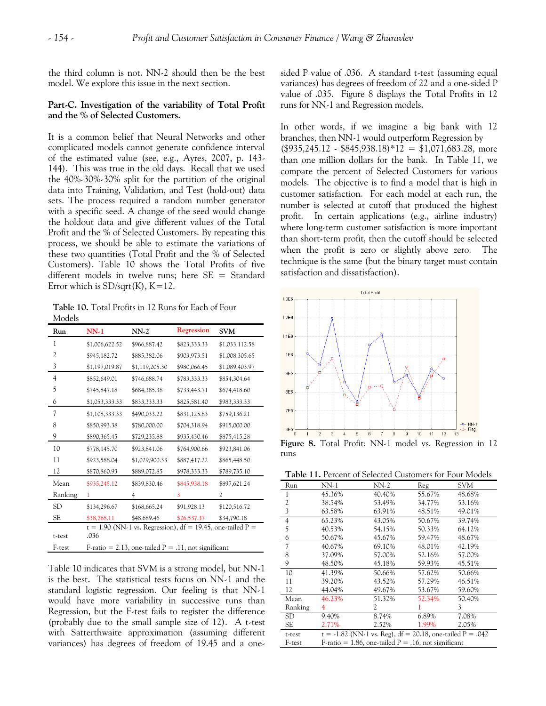the third column is not. NN-2 should then be the best model. We explore this issue in the next section.

## **Part-C. Investigation of the variability of Total Profit and the % of Selected Customers.**

It is a common belief that Neural Networks and other complicated models cannot generate confidence interval of the estimated value (see, e.g., Ayres, 2007, p. 143- 144). This was true in the old days. Recall that we used the 40%-30%-30% split for the partition of the original data into Training, Validation, and Test (hold-out) data sets. The process required a random number generator with a specific seed. A change of the seed would change the holdout data and give different values of the Total Profit and the % of Selected Customers. By repeating this process, we should be able to estimate the variations of these two quantities (Total Profit and the % of Selected Customers). Table 10 shows the Total Profits of five different models in twelve runs; here SE = Standard Error which is  $SD/sqrt(K)$ ,  $K=12$ .

**Table 10.** Total Profits in 12 Runs for Each of Four Models

| Run       | $NN-1$                                                               | $NN-2$         | <b>Regression</b> | <b>SVM</b>     |  |  |
|-----------|----------------------------------------------------------------------|----------------|-------------------|----------------|--|--|
| 1         | \$1,006,622.52                                                       | \$966,887.42   | \$823,333.33      | \$1,033,112.58 |  |  |
| 2         | \$945,182.72                                                         | \$885,382.06   | \$903,973.51      | \$1,008,305.65 |  |  |
| 3         | \$1,197,019.87                                                       | \$1,119,205.30 | \$980,066.45      | \$1,089,403.97 |  |  |
| 4         | \$852,649.01                                                         | \$746,688.74   | \$783,333.33      | \$854,304.64   |  |  |
| 5         | \$745,847.18                                                         | \$684,385.38   | \$733,443.71      | \$674,418.60   |  |  |
| 6         | \$1,053,333.33                                                       | \$833,333.33   | \$825,581.40      | \$983,333.33   |  |  |
| 7         | \$1,108,333.33                                                       | \$490,033.22   | \$831,125.83      | \$759,136.21   |  |  |
| 8         | \$850,993.38                                                         | \$780,000.00   | \$704,318.94      | \$915,000.00   |  |  |
| 9         | \$890,365.45                                                         | \$729,235.88   | \$935,430.46      | \$875,415.28   |  |  |
| 10        | \$778,145.70                                                         | \$923,841.06   | \$764,900.66      | \$923,841.06   |  |  |
| 11        | \$923,588.04                                                         | \$1,029,900.33 | \$887,417.22      | \$865,448.50   |  |  |
| 12        | \$870,860.93                                                         | \$889,072.85   | \$978,333.33      | \$789,735.10   |  |  |
| Mean      | \$935,245.12                                                         | \$839,830.46   | \$845,938.18      | \$897,621.24   |  |  |
| Ranking   |                                                                      | 4              | 3                 | 2              |  |  |
| <b>SD</b> | \$134,296.67                                                         | \$168,665.24   | \$91,928.13       | \$120,516.72   |  |  |
| SE        | \$38,768.11                                                          | \$48,689.46    | \$26,537.37       | \$34,790.18    |  |  |
| t-test    | $t = 1.90$ (NN-1 vs. Regression), df = 19.45, one-tailed P =<br>.036 |                |                   |                |  |  |
| F-test    | F-ratio = 2.13, one-tailed $P = .11$ , not significant               |                |                   |                |  |  |

Table 10 indicates that SVM is a strong model, but NN-1 is the best. The statistical tests focus on NN-1 and the standard logistic regression. Our feeling is that NN-1 would have more variability in successive runs than Regression, but the F-test fails to register the difference (probably due to the small sample size of 12). A t-test with Satterthwaite approximation (assuming different variances) has degrees of freedom of 19.45 and a onesided P value of .036. A standard t-test (assuming equal variances) has degrees of freedom of 22 and a one-sided P value of .035. Figure 8 displays the Total Profits in 12 runs for NN-1 and Regression models.

In other words, if we imagine a big bank with 12 branches, then NN-1 would outperform Regression by  $($935,245.12 \cdot $845,938.18)*12 = $1,071,683.28,$  more than one million dollars for the bank. In Table 11, we compare the percent of Selected Customers for various models. The objective is to find a model that is high in customer satisfaction. For each model at each run, the number is selected at cutoff that produced the highest profit. In certain applications (e.g., airline industry) where long-term customer satisfaction is more important than short-term profit, then the cutoff should be selected when the profit is zero or slightly above zero. The technique is the same (but the binary target must contain satisfaction and dissatisfaction).



runs

**Table 11.** Percent of Selected Customers for Four Models

| Run       | NN-1                                                   | NN-2                                                        | Reg    | SVM    |  |  |  |  |
|-----------|--------------------------------------------------------|-------------------------------------------------------------|--------|--------|--|--|--|--|
| 1         | 45.36%                                                 | 40.40%                                                      | 55.67% | 48.68% |  |  |  |  |
| 2         | 38.54%                                                 | 53.49%                                                      | 34.77% | 53.16% |  |  |  |  |
| 3         | 63.58%                                                 | 63.91%                                                      | 48.51% | 49.01% |  |  |  |  |
| 4         | 65.23%                                                 | 43.05%                                                      | 50.67% | 39.74% |  |  |  |  |
| 5         | 40.53%                                                 | 54.15%                                                      | 50.33% | 64.12% |  |  |  |  |
| 6         | 50.67%                                                 | 45.67%                                                      | 59.47% | 48.67% |  |  |  |  |
| 7         | 40.67%                                                 | 69.10%                                                      | 48.01% | 42.19% |  |  |  |  |
| 8         | 37.09%                                                 | 57.00%                                                      | 52.16% | 57.00% |  |  |  |  |
| 9         | 48.50%                                                 | 45.18%                                                      | 59.93% | 45.51% |  |  |  |  |
| 10        | 41.39%                                                 | 50.66%                                                      | 57.62% | 50.66% |  |  |  |  |
| 11        | 39.20%                                                 | 43.52%                                                      | 57.29% | 46.51% |  |  |  |  |
| 12        | 44.04%                                                 | 49.67%                                                      | 53.67% | 59.60% |  |  |  |  |
| Mean      | 46.23%                                                 | 51.32%                                                      | 52.34% | 50.40% |  |  |  |  |
| Ranking   |                                                        | 2                                                           |        | 3      |  |  |  |  |
| <b>SD</b> | 9.40%                                                  | 8.74%                                                       | 6.89%  | 7.08%  |  |  |  |  |
| SE        | 2.71%                                                  | 2.52%                                                       | 1.99%  | 2.05%  |  |  |  |  |
| t-test    |                                                        | t = -1.82 (NN-1 vs. Reg), df = 20.18, one-tailed $P = .042$ |        |        |  |  |  |  |
| F-test    | $F$ -ratio = 1.86, one-tailed P = .16, not significant |                                                             |        |        |  |  |  |  |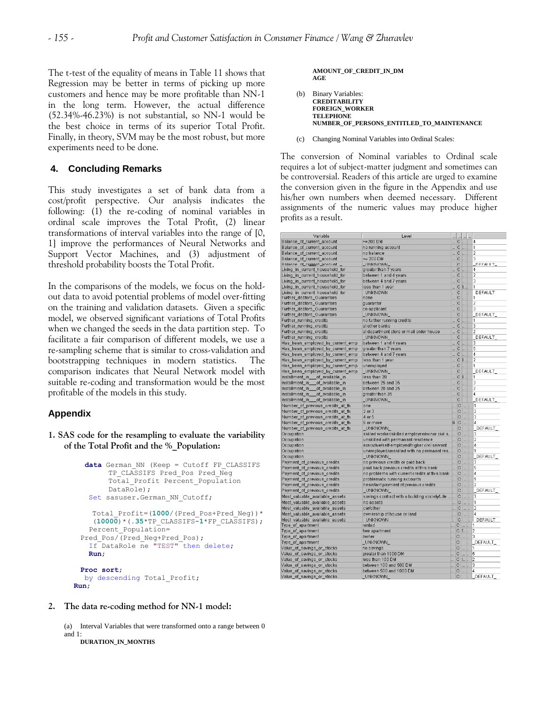The t-test of the equality of means in Table 11 shows that Regression may be better in terms of picking up more customers and hence may be more profitable than NN-1 in the long term. However, the actual difference (52.34%-46.23%) is not substantial, so NN-1 would be the best choice in terms of its superior Total Profit. Finally, in theory, SVM may be the most robust, but more experiments need to be done.

## **4. Concluding Remarks**

This study investigates a set of bank data from a cost/profit perspective. Our analysis indicates the following: (1) the re-coding of nominal variables in ordinal scale improves the Total Profit, (2) linear transformations of interval variables into the range of [0, 1] improve the performances of Neural Networks and Support Vector Machines, and (3) adjustment of threshold probability boosts the Total Profit.

In the comparisons of the models, we focus on the holdout data to avoid potential problems of model over-fitting on the training and validation datasets. Given a specific model, we observed significant variations of Total Profits when we changed the seeds in the data partition step. To facilitate a fair comparison of different models, we use a re-sampling scheme that is similar to cross-validation and bootstrapping techniques in modern statistics. The comparison indicates that Neural Network model with suitable re-coding and transformation would be the most profitable of the models in this study.

#### **Appendix**

**1. SAS code for the resampling to evaluate the variability of the Total Profit and the %\_Population:** 

```
 data German_NN (Keep = Cutoff FP_CLASSIFS 
       TP_CLASSIFS_Pred_Pos_Pred_Neg
       Total_Profit Percent_Population 
       DataRole);
  Set sasuser.German NN Cutoff;
   Total_Profit=(1000/(Pred_Pos+Pred_Neg))*
   (10000)*(.35*TP_CLASSIFS-1*FP_CLASSIFS);
  Percent Population=
Pred_Pos/(Pred_Neg+Pred_Pos);
   If DataRole ne "TEST" then delete; 
   Run;
Proc sort;
 by descending Total Profit;
Run;
```
#### **2. The data re-coding method for NN-1 model:**

(a) Interval Variables that were transformed onto a range between 0 and 1:

**DURATION\_IN\_MONTHS**

#### **AMOUNT\_OF\_CREDIT\_IN\_DM AGE**

- (b) Binary Variables: **CREDITABILITY FOREIGN\_WORKER TELEPHONE NUMBER\_OF\_PERSONS\_ENTITLED\_TO\_MAINTENANCE**
- (c) Changing Nominal Variables into Ordinal Scales:

The conversion of Nominal variables to Ordinal scale requires a lot of subject-matter judgment and sometimes can be controversial. Readers of this article are urged to examine the conversion given in the figure in the Appendix and use his/her own numbers when deemed necessary. Different assignments of the numeric values may produce higher profits as a result.

| Variable                          | Level                                               |                            |                   |                           | <u> </u>                                                 |                     |
|-----------------------------------|-----------------------------------------------------|----------------------------|-------------------|---------------------------|----------------------------------------------------------|---------------------|
| }alance_of_current_account        | $>=200$ DM                                          | C                          |                   | $\left  \ldots \right $ . |                                                          | 4                   |
| }alance_of_current_account        | no running account                                  |                            | C  .              |                           |                                                          | 1                   |
| }alance_of_current_account        | no balance                                          |                            | C      .          |                           |                                                          | 2                   |
| alance_of_current_account         | $\leq$ 200 DM                                       | C                          |                   | Ţш.                       |                                                          | 3                   |
| alance of current account         | <b>LINKNOWN</b>                                     |                            | Č                 |                           |                                                          | <b>DEFAULT</b>      |
| .iving_in_current_household_for   | greater than 7 years                                | C                          |                   | $\left  \ldots \right $ . |                                                          | 4                   |
| .iving_in_current_household_for   | between 1 and 4 years                               | C                          |                   |                           | $\sim$                                                   | 2                   |
| .iving_in_current_household_for   | between 4 and 7 years                               |                            | $\mathbf C$       |                           | $\left  \ldots \right $                                  | 3                   |
|                                   |                                                     | m.                         | $\mathbf{C}$      |                           |                                                          | 1                   |
| .iving_in_current_household_for   | less than 1 year                                    |                            |                   |                           | $\mathbf{L}$ .                                           |                     |
| iving in current household for    | <b>UNKNOWN</b>                                      |                            | Ċ                 |                           |                                                          | DEFAULT             |
| urther_debtors_Guarantors         | none                                                |                            | $\circ$           | والمما                    |                                                          | 1                   |
| urther_debtors_Guarantors         | guarantor                                           | C                          |                   | $\left   \right $         |                                                          | $\overline{2}$      |
| urther_debtors_Guarantors         | co-applicant                                        |                            | $\mathbf C$       | Jan                       |                                                          | 3                   |
| urther_debtors_Guarantors         | <b>UNKNOWN</b>                                      | J.                         | Ċ                 |                           |                                                          | DEFAULT             |
| urther_running_credits            | no further running credits                          | $\mathbb{C}$               |                   | $\overline{\phantom{a}}$  |                                                          | 1                   |
| urther_running_credits            | at other banks                                      |                            | $\circ$           |                           | $\overline{\phantom{a}}$                                 | 3                   |
| urther_running_credits            | at department store or mail order house             |                            | С                 | $\vert  \vert.$           |                                                          | $\overline{2}$      |
| urther_running_credits`           | _UNKNOWN_                                           | k,                         | Ċ                 |                           |                                                          | DEFAULT             |
| las_been_employed_by_current_emp  | between 1 and 4 years                               | C                          |                   | $\left  \ldots \right $   |                                                          | 3                   |
| las_been_employed_by_current_emp  | greater than 7 years                                |                            | $\mathbb{C}$      |                           | $\left  \ldots \right $                                  | 5                   |
| las_been_employed_by_current_emp  | between 4 and 7 years                               | C                          |                   |                           | $\frac{1}{2}$                                            | 4                   |
| -las_been_employed_by_current_emp | less than 1 year                                    |                            | $\mathbb{C}$      |                           | .                                                        | $\overline{2}$      |
| -las_been_employed_by_current_emp | unemployed                                          |                            | C                 | $\vert  \vert.$           |                                                          | 1                   |
| las_been_employed_by_current_emp  | _UNKNOWN_                                           |                            | Ċ                 |                           |                                                          | <b>DEFAULT</b>      |
| nstallment_in____of_available_in  | less than 20                                        |                            | C I .             |                           |                                                          | 1                   |
| nstallment_in____of_available_in  | between 25 and 35                                   | C                          |                   |                           | $\vert \ldots \vert$ .                                   | 3                   |
| nstallment_in___of_available_in   | between 20 and 25                                   |                            | C      .          |                           |                                                          | 2                   |
| nstallment_in___of_available_in   | greater than 35                                     | C                          |                   |                           | $\left  \ldots \right $ .                                | 4                   |
| nstallment_in___of_available_in   | _UNKNOWN_                                           |                            | с                 |                           |                                                          | <b>DEFAULT</b>      |
| \umber_of_previous_credits_at_th  | one                                                 |                            | $\mathbb{R}$ C    |                           |                                                          | 1                   |
| \umber_of_previous_credits_at_th  | $2$ or $3$                                          |                            |                   |                           | $\left  \ldots \right $<br>$\mathbb{L}$ C $\mathbb{L}$ . | 2                   |
| \umber_of_previous_credits_at_th  | 4 or 5                                              |                            |                   |                           |                                                          | 3                   |
|                                   | 6 or more                                           |                            |                   |                           | C  .                                                     | 4                   |
| \umber_of_previous_credits_at_th  |                                                     |                            | $6$ C<br>C        |                           |                                                          | DEFAULT             |
| \umber_of_previous_credits_at_th  | UNKNOWN_                                            |                            |                   |                           |                                                          |                     |
| Occupation                        | skilled worker/skilled employee/minor civil s  C  . |                            |                   |                           |                                                          | 3<br>$\overline{2}$ |
| <b>Dccupation</b>                 | unskilled with permanant residence                  |                            | C  .              |                           |                                                          |                     |
| <b>Dccupation</b>                 | executive/self-employed/higher civil servant        |                            |                   |                           | C  .                                                     | 4                   |
| <b>Dccupation</b>                 | unemployed/unskilled with no permaant res  C        |                            |                   | Į.,                       |                                                          | 1                   |
| Occupation                        | UNKNOWN                                             |                            | . C               |                           |                                                          | DEFAULT             |
| ayment_of_previous_credits        | no previous credits or paid back                    |                            | C      .          |                           |                                                          | 3                   |
| ayment_of_previous_credits        | paid back previous credits at this bank             |                            |                   |                           | C  .                                                     | 5                   |
| ayment_of_previous_credits        | no problems with current credits at this bank       |                            | $\Box$ C $\Box$ . |                           |                                                          | 4                   |
| ayment_of_previous_credits        | problematic running accounts                        |                            | C                 |                           | 1.11                                                     | 1                   |
| ayment_of_previous_credits        | hesistant payment of previous credits               |                            | C  .              |                           |                                                          | 2                   |
| ayment_of_previous_credits^       | _UNKNOWN_                                           |                            | C                 |                           |                                                          | DEFAULT             |
| iost_valuable_available_assets    | savings contract with a building society/Life   C   |                            |                   |                           | $\vert \ldots \vert$ .                                   | 3                   |
| ilost_valuable_available_assets   | no assets                                           |                            | C      .          |                           |                                                          | 1                   |
| /lost_valuable_available_assets   | canother                                            |                            | C      .          |                           |                                                          | 2                   |
| fost_valuable_available_assets    | ownership of house or land                          |                            | C  .              |                           |                                                          | 4                   |
| fost valuable available assets    | <b>UNKNOWN</b>                                      |                            | $\circ$           |                           |                                                          | DEFAULT             |
| ype of apartment                  | rented                                              | C      .                   |                   |                           |                                                          | 1                   |
| ype_of_apartment                  | free apartment                                      |                            | C f .             |                           |                                                          | 2                   |
| ype_of_apartment                  | owner                                               | $\mathbb{R}$ C             |                   | <u> </u>  .               |                                                          | 3                   |
| ype_of_apartment                  | UNKNOWN                                             |                            | C                 |                           |                                                          | DEFAULT             |
| alue_of_savings_or_stocks         | no savings                                          | $\mathcal{L}$              |                   |                           | .                                                        | $\overline{1}$      |
| alue_of_savings_or_stocks         | greater than 1000 DM                                | $\overline{\phantom{a}}$ C |                   | $\left  \ldots \right $   |                                                          | 5                   |
| alue_of_savings_or_stocks         | less than 100 DM                                    | $$ C $ $ $ $ .             |                   |                           |                                                          | $\overline{2}$      |
| 'alue_of_savings_or_stocks        | between 100 and 500 DM                              |                            | C    .            |                           |                                                          | 3                   |
| 'alue_of_savings_or_stocks        | between 500 and 1000 DM                             | $\mathbb{C}$               |                   |                           | $\cdots$                                                 | 4                   |
| alue of savings or stocks.        | <b>UNKNOWN</b>                                      |                            | $\mathsf{C}$      |                           |                                                          | <b>DEFAULT</b>      |